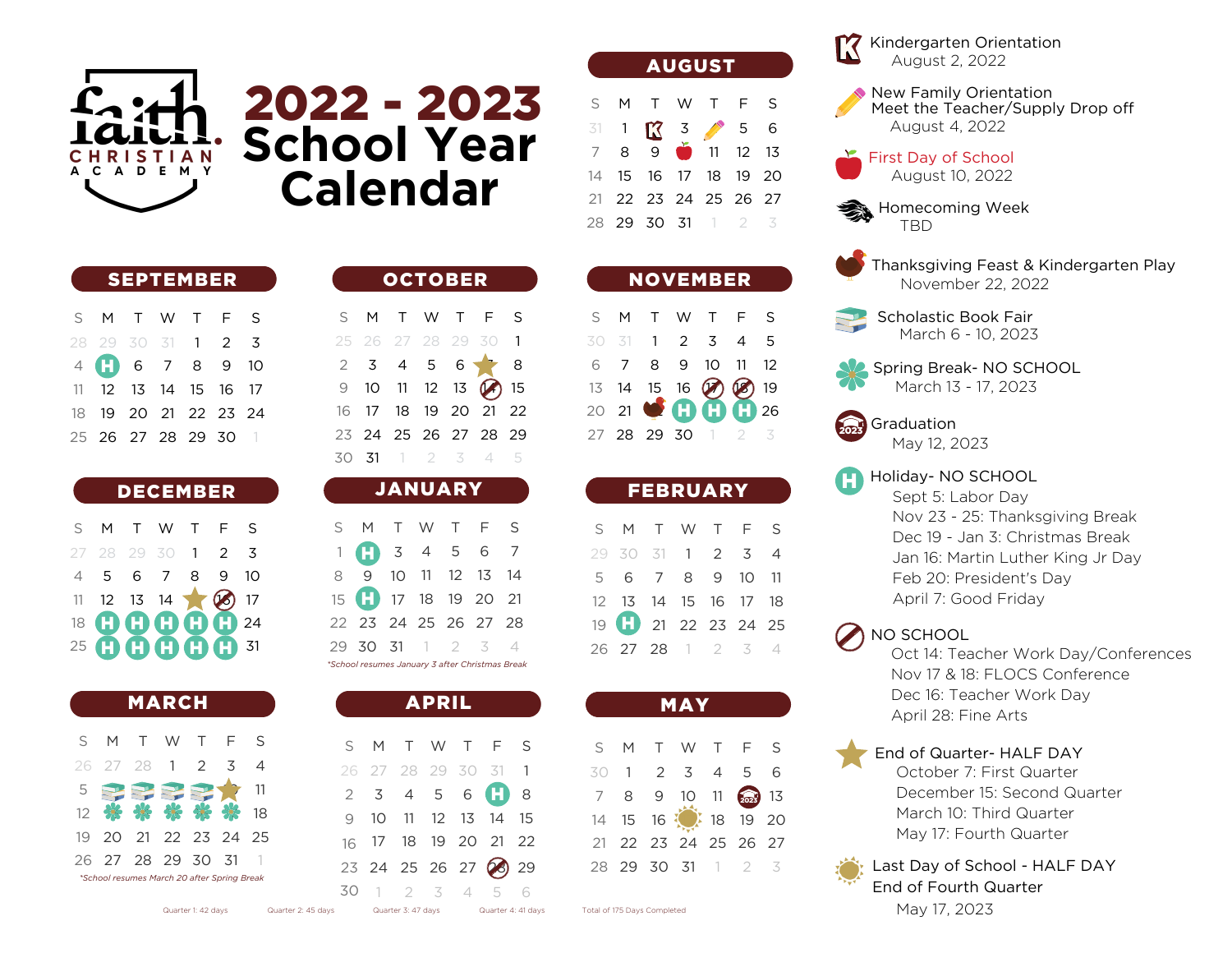

SEPTEMBER

S M T W T F S

 

   $\mathfrak{D}$ 

 

 13 14 15 16 20 21 22 23 24

26 27 28 29 30

 

H)

## - 2023 **School Year Calendar**

|  | <b>OCTOBER</b> |  |                                 |  |
|--|----------------|--|---------------------------------|--|
|  |                |  | S M T W T F S                   |  |
|  |                |  | 25 26 27 28 29 30 1             |  |
|  |                |  | $2$ 3 4 5 6 8                   |  |
|  |                |  | 9 10 11 12 13 $\binom{2}{1}$ 15 |  |
|  |                |  | 16 17 18 19 20 21 22            |  |
|  |                |  | 23 24 25 26 27 28 29            |  |
|  |                |  | 30 31 1 2 3 4 5                 |  |
|  |                |  |                                 |  |

## DECEMBER

| S M T W T F S      |  |  |  |
|--------------------|--|--|--|
| 27 28 29 30 1 2 3  |  |  |  |
| 4 5 6 7 8 9 10     |  |  |  |
| 11 12 13 14 3 17   |  |  |  |
| 18 <b>00000</b> 24 |  |  |  |
| 25 <b>00000</b> 31 |  |  |  |

|         |                                             | <b>MARCH</b> |             |                |          |
|---------|---------------------------------------------|--------------|-------------|----------------|----------|
| $S_{-}$ |                                             |              | M T W T F S |                |          |
|         | 26 27 28 1 2                                |              |             | $\overline{5}$ | $\Delta$ |
|         | $5$ PPPP+                                   |              |             |                |          |
|         | 12 米米米米米 18                                 |              |             |                |          |
|         | 19 20 21 22 23 24 25                        |              |             |                |          |
|         | 26 27 28 29 30 31                           |              |             |                |          |
|         | *School resumes March 20 after Spring Break |              |             |                |          |

|    |   |                         | 25 26 27 28 29 30 1     |                |
|----|---|-------------------------|-------------------------|----------------|
|    |   |                         | $2 \t3 \t4 \t5 \t6 \t3$ |                |
| 9  |   |                         | 10 11 12 13 2 15        |                |
| 16 |   |                         | 17 18 19 20 21 22       |                |
|    |   |                         | 23 24 25 26 27 28 29    |                |
|    |   |                         | 30 31 1 2 3 4 5         |                |
|    |   |                         |                         |                |
|    |   | <b>JANUARY</b>          |                         |                |
|    |   |                         |                         |                |
|    |   |                         | S M T W T F S           |                |
|    |   | $1 \t 3 \t 4 \t 5 \t 6$ |                         | $\overline{7}$ |
| 8  | 9 |                         | 10 11 12 13             | 14             |

| 15 17 18 19 20 21                               |  |  |  |
|-------------------------------------------------|--|--|--|
| 22 23 24 25 26 27 28                            |  |  |  |
| 29 30 31 1 2 3 4                                |  |  |  |
| *School resumes January 3 after Christmas Break |  |  |  |

|                      | <b>APRIL</b> |  |  |
|----------------------|--------------|--|--|
| S M T W T F S        |              |  |  |
| 26 27 28 29 30 31 1  |              |  |  |
| $2$ 3 4 5 6 $\Box$ 8 |              |  |  |
| 9 10 11 12 13 14 15  |              |  |  |
| 16 17 18 19 20 21 22 |              |  |  |
| 23 24 25 26 27 28 29 |              |  |  |
| 30 1 2 3 4 5 6       |              |  |  |

| <b>AUGUST</b> |
|---------------|
|               |

| S M T W T F S                                                      |  |  |  |
|--------------------------------------------------------------------|--|--|--|
| $\frac{31}{7}$ 1 $\frac{12}{9}$ $\frac{3}{9}$ $\frac{4}{11}$ 12 13 |  |  |  |
|                                                                    |  |  |  |
| 14    15    16    17    18    19    20                             |  |  |  |
| 21 22 23 24 25 26 27                                               |  |  |  |
| 28 29 30 31 1 2 3                                                  |  |  |  |

|  |  | <b>NOVEMBER</b>     |  |
|--|--|---------------------|--|
|  |  | S M T W T F S       |  |
|  |  | 30 31 1 2 3 4 5     |  |
|  |  | 6 7 8 9 10 11 12    |  |
|  |  | 13 14 15 16 2 23 19 |  |
|  |  |                     |  |
|  |  | 27 28 29 30 1 2 3   |  |

|                            | <b>FEBRUARY</b> |  |  |
|----------------------------|-----------------|--|--|
| S M T W T F S              |                 |  |  |
| 29 30 31 1 2 3 4           |                 |  |  |
| 5 6 7 8 9 10 11            |                 |  |  |
| 12  13  14  15  16  17  18 |                 |  |  |
| 19 21 22 23 24 25          |                 |  |  |
| 26 27 28 1 2 3 4           |                 |  |  |

|                |                      | <b>MAY</b>        |  |  |
|----------------|----------------------|-------------------|--|--|
|                | S M T W T F S        |                   |  |  |
|                | 30 1 2 3 4 5 6       |                   |  |  |
| 7 <sup>7</sup> |                      | 8 9 10 11 2023 13 |  |  |
|                | 14 15 16 18 18 19 20 |                   |  |  |
|                | 21 22 23 24 25 26 27 |                   |  |  |
|                | 28 29 30 31 1 2 3    |                   |  |  |
|                |                      |                   |  |  |

Kindergarten Orientation August 2, 2022

New Family Orientation Meet the Teacher/Supply Drop off August 4, 2022



Homecoming Week **TRD** 



Thanksgiving Feast & Kindergarten Play November 22, 2022



Scholastic Book Fair March 6 - 10, 2023

Spring Break- NO SCHOOL March 13 - 17, 2023



2023 Graduation May 12, 2023

Holiday- NO SCHOOL

Sept 5: Labor Day Nov 23 - 25: Thanksgiving Break Dec 19 - Jan 3: Christmas Break Jan 16: Martin Luther King Jr Day Feb 20: President's Day April 7: Good Friday

## NO SCHOOL

Oct 14: Teacher Work Day/Conferences Nov 17 & 18: FLOCS Conference Dec 16: Teacher Work Day April 28: Fine Arts

End of Quarter- HALF DAY October 7: First Quarter

December 15: Second Quarter March 10: Third Quarter May 17: Fourth Quarter



Last Day of School - HALF DAY End of Fourth Quarter May 17, 2023

Quarter 1: 42 days Quarter 2: 45 days Quarter 3: 47 days Quarter 4: 41 days Total of 175 Days Completed